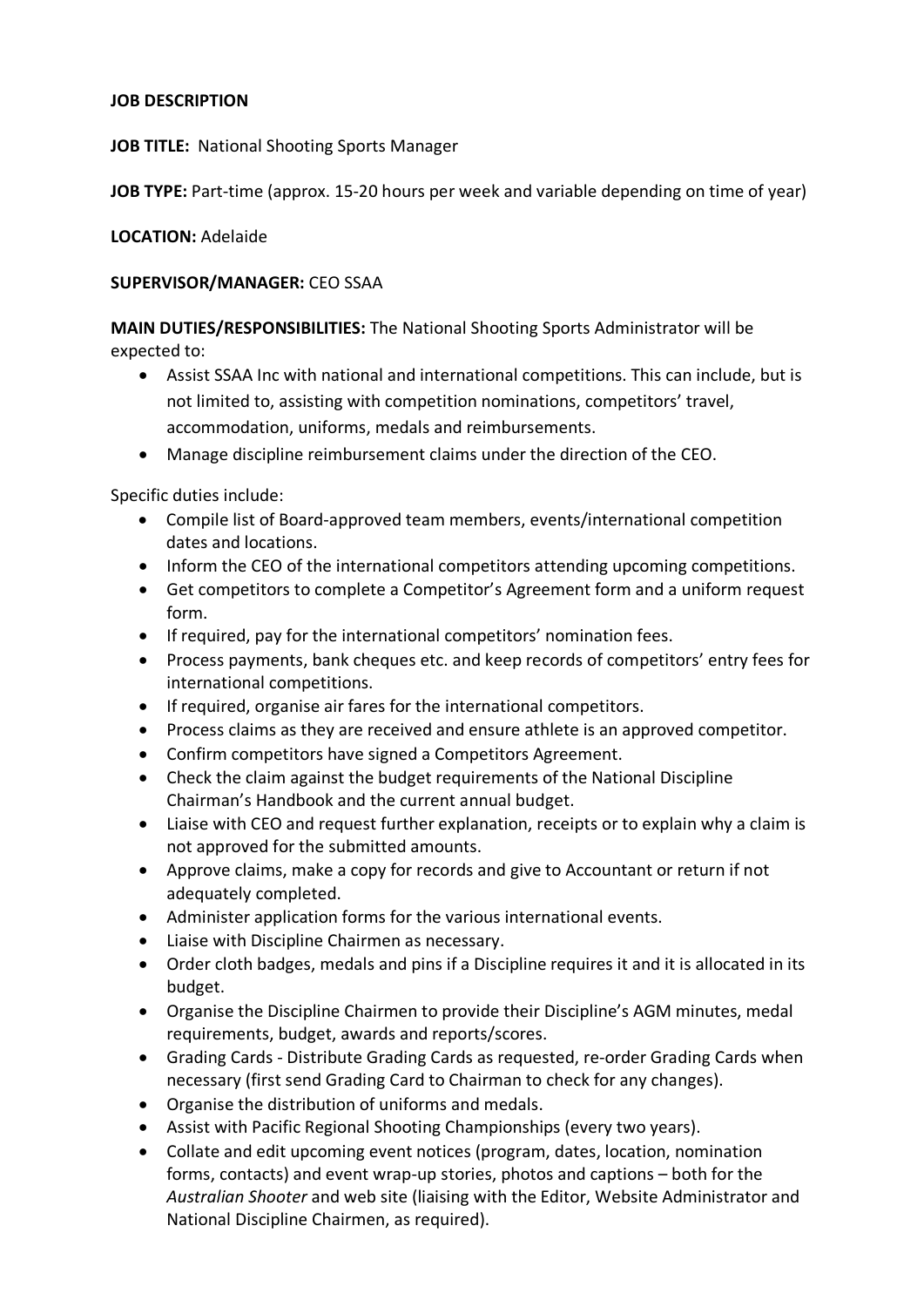# **JOB DESCRIPTION**

**JOB TITLE:** National Shooting Sports Manager

**JOB TYPE:** Part-time (approx. 15-20 hours per week and variable depending on time of year)

### **LOCATION:** Adelaide

#### **SUPERVISOR/MANAGER:** CEO SSAA

**MAIN DUTIES/RESPONSIBILITIES:** The National Shooting Sports Administrator will be expected to:

- Assist SSAA Inc with national and international competitions. This can include, but is not limited to, assisting with competition nominations, competitors' travel, accommodation, uniforms, medals and reimbursements.
- Manage discipline reimbursement claims under the direction of the CEO.

Specific duties include:

- Compile list of Board-approved team members, events/international competition dates and locations.
- Inform the CEO of the international competitors attending upcoming competitions.
- Get competitors to complete a Competitor's Agreement form and a uniform request form.
- If required, pay for the international competitors' nomination fees.
- Process payments, bank cheques etc. and keep records of competitors' entry fees for international competitions.
- If required, organise air fares for the international competitors.
- Process claims as they are received and ensure athlete is an approved competitor.
- Confirm competitors have signed a Competitors Agreement.
- Check the claim against the budget requirements of the National Discipline Chairman's Handbook and the current annual budget.
- Liaise with CEO and request further explanation, receipts or to explain why a claim is not approved for the submitted amounts.
- Approve claims, make a copy for records and give to Accountant or return if not adequately completed.
- Administer application forms for the various international events.
- Liaise with Discipline Chairmen as necessary.
- Order cloth badges, medals and pins if a Discipline requires it and it is allocated in its budget.
- Organise the Discipline Chairmen to provide their Discipline's AGM minutes, medal requirements, budget, awards and reports/scores.
- Grading Cards Distribute Grading Cards as requested, re-order Grading Cards when necessary (first send Grading Card to Chairman to check for any changes).
- Organise the distribution of uniforms and medals.
- Assist with Pacific Regional Shooting Championships (every two years).
- Collate and edit upcoming event notices (program, dates, location, nomination forms, contacts) and event wrap-up stories, photos and captions – both for the *Australian Shooter* and web site (liaising with the Editor, Website Administrator and National Discipline Chairmen, as required).